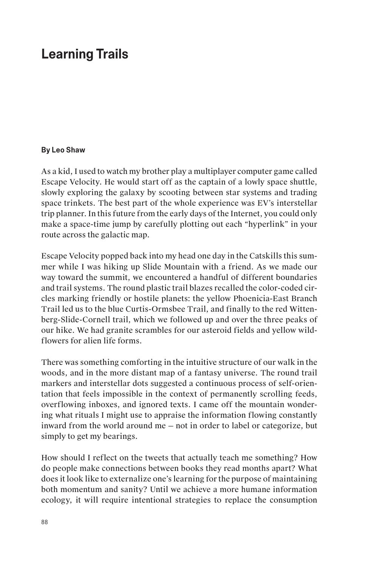## **Learning Trails**

## **By Leo Shaw**

As a kid, I used to watch my brother play a multiplayer computer game called Escape Velocity. He would start off as the captain of a lowly space shuttle, slowly exploring the galaxy by scooting between star systems and trading space trinkets. The best part of the whole experience was EV's interstellar trip planner. In this future from the early days of the Internet, you could only make a space-time jump by carefully plotting out each "hyperlink" in your route across the galactic map.

Escape Velocity popped back into my head one day in the Catskills this summer while I was hiking up Slide Mountain with a friend. As we made our way toward the summit, we encountered a handful of different boundaries and trail systems. The round plastic trail blazes recalled the color-coded circles marking friendly or hostile planets: the yellow Phoenicia-East Branch Trail led us to the blue Curtis-Ormsbee Trail, and finally to the red Wittenberg-Slide-Cornell trail, which we followed up and over the three peaks of our hike. We had granite scrambles for our asteroid fields and yellow wildflowers for alien life forms.

There was something comforting in the intuitive structure of our walk in the woods, and in the more distant map of a fantasy universe. The round trail markers and interstellar dots suggested a continuous process of self-orientation that feels impossible in the context of permanently scrolling feeds, overflowing inboxes, and ignored texts. I came off the mountain wondering what rituals I might use to appraise the information flowing constantly inward from the world around me — not in order to label or categorize, but simply to get my bearings.

How should I reflect on the tweets that actually teach me something? How do people make connections between books they read months apart? What does it look like to externalize one's learning for the purpose of maintaining both momentum and sanity? Until we achieve a more humane information ecology, it will require intentional strategies to replace the consumption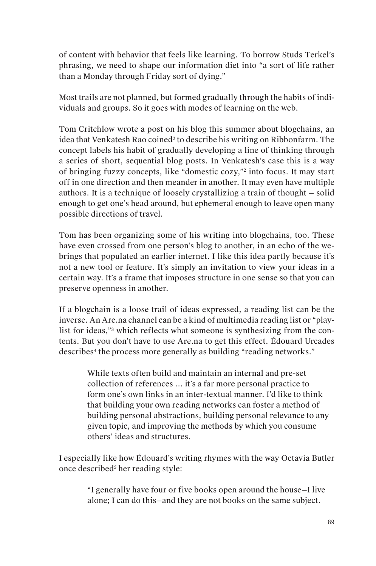of content with behavior that feels like learning. To borrow Studs Terkel's phrasing, we need to shape our information diet into "a sort of life rather than a Monday through Friday sort of dying."

Most trails are not planned, but formed gradually through the habits of individuals and groups. So it goes with modes of learning on the web.

Tom Critchlow wrote a post on his blog this summer about blogchains, an idea that Venkatesh Rao coined<sup>2</sup> to describe his writing on Ribbonfarm. The concept labels his habit of gradually developing a line of thinking through a series of short, sequential blog posts. In Venkatesh's case this is a way of bringing fuzzy concepts, like "domestic cozy,"2 into focus. It may start off in one direction and then meander in another. It may even have multiple authors. It is a technique of loosely crystallizing a train of thought — solid enough to get one's head around, but ephemeral enough to leave open many possible directions of travel.

Tom has been organizing some of his writing into blogchains, too. These have even crossed from one person's blog to another, in an echo of the webrings that populated an earlier internet. I like this idea partly because it's not a new tool or feature. It's simply an invitation to view your ideas in a certain way. It's a frame that imposes structure in one sense so that you can preserve openness in another.

If a blogchain is a loose trail of ideas expressed, a reading list can be the inverse. An Are.na channel can be a kind of multimedia reading list or "playlist for ideas,"3 which reflects what someone is synthesizing from the contents. But you don't have to use Are.na to get this effect. Édouard Urcades describes<sup>4</sup> the process more generally as building "reading networks."

> While texts often build and maintain an internal and pre-set collection of references … it's a far more personal practice to form one's own links in an inter-textual manner. I'd like to think that building your own reading networks can foster a method of building personal abstractions, building personal relevance to any given topic, and improving the methods by which you consume others' ideas and structures.

I especially like how Édouard's writing rhymes with the way Octavia Butler once described<sup>5</sup> her reading style:

> "I generally have four or five books open around the house—I live alone; I can do this—and they are not books on the same subject.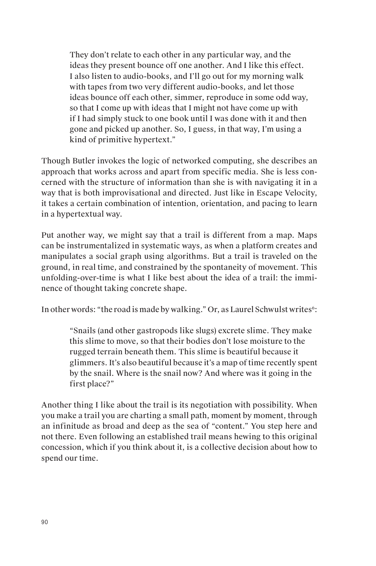They don't relate to each other in any particular way, and the ideas they present bounce off one another. And I like this effect. I also listen to audio-books, and I'll go out for my morning walk with tapes from two very different audio-books, and let those ideas bounce off each other, simmer, reproduce in some odd way, so that I come up with ideas that I might not have come up with if I had simply stuck to one book until I was done with it and then gone and picked up another. So, I guess, in that way, I'm using a kind of primitive hypertext."

Though Butler invokes the logic of networked computing, she describes an approach that works across and apart from specific media. She is less concerned with the structure of information than she is with navigating it in a way that is both improvisational and directed. Just like in Escape Velocity, it takes a certain combination of intention, orientation, and pacing to learn in a hypertextual way.

Put another way, we might say that a trail is different from a map. Maps can be instrumentalized in systematic ways, as when a platform creates and manipulates a social graph using algorithms. But a trail is traveled on the ground, in real time, and constrained by the spontaneity of movement. This unfolding-over-time is what I like best about the idea of a trail: the imminence of thought taking concrete shape.

In other words: "the road is made by walking." Or, as Laurel Schwulst writes<sup>6</sup>:

"Snails (and other gastropods like slugs) excrete slime. They make this slime to move, so that their bodies don't lose moisture to the rugged terrain beneath them. This slime is beautiful because it glimmers. It's also beautiful because it's a map of time recently spent by the snail. Where is the snail now? And where was it going in the first place?"

Another thing I like about the trail is its negotiation with possibility. When you make a trail you are charting a small path, moment by moment, through an infinitude as broad and deep as the sea of "content." You step here and not there. Even following an established trail means hewing to this original concession, which if you think about it, is a collective decision about how to spend our time.